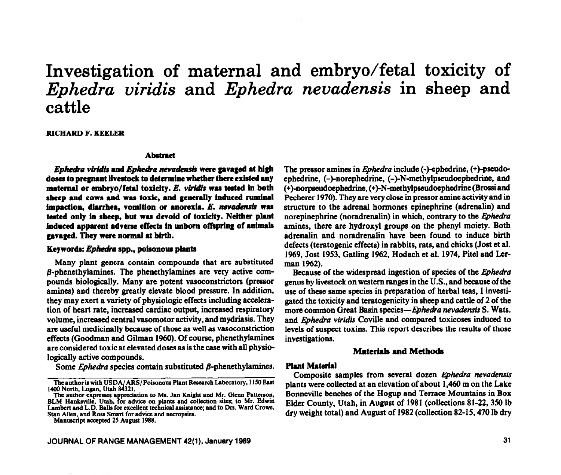# **Investigation of maternal and embryo/fetal toxicity of**  *Ephedra viridis* **and** *Ephedra nevadensis* **in sheep and cattle**

RICHARD F. KEELER

#### **Abstract**

*Ephedra viridis* and *Ephedra nevadensis* were gavaged at high **doea to pregnant livestock to determine whether there existed any maternal or embryo/letal toxicity.** *E. viricls was* tested in both sheep and cows and was toxic, and generally induced ruminal impaction, diarrhea, vomition or anorexia. E. nevadensis was tested only in sheep, but was devoid of toxicity. Neither plant **induced apparent adverse effecta in unboro offiprhg of animal8 paged. They were normal at birth.** 

#### Keywords: *Ephedra* spp., poisonous plants

Many plant genera contain compounds that are substituted  $\beta$ -phenethylamines. The phenethylamines are very active compounds biologically. Many are potent vasoconstrictors (pressor amines) and thereby greatly elevate blood pressure. In addition, they may exert a variety of physiologic effects including acceleration of heart rate, increased cardiac output, increased respiratory volume, increased central vasomotor activity, and mydriasis. They are useful medicinally because of those as well as vasoconstriction effects (Goodman and Gilman 1960). Of course, phenethylamines are considered toxic at elevated doses as is the case with all physiologically active compounds.

Some *Ephedra* species contain substituted  $\beta$ -phenethylamines.

Manuscript accepted 25 Augurt 1988.

**JOURNAL OF RANGE MANAGEMENT 42(l), January 1999 31** 

The pressor amines in *Ephedra* include (-)-ephedrine, (+)-pseudoephedrine, (-)-norephedrine, (-)-N-methylpseudoephedrine, and (+)-norpseudoephedrine, (+)-N-methylpseudoephedrine (Brossi and Pecherer 1970). They are very close in pressor amine activity and in structure to the adrenal hormones epinephrine (adrenalin) and norepinephrine (noradrenalin) in which, contrary to the *&hedra*  amines, there are hydroxyl groups on the phenyl moiety. Both adrenalin and noradrenalin have been found to induce birth defects (teratogenic effects) in rabbits, rats, and chicks (Jost et al. 1969, Jost 1953, Gatling 1962, Hodach et al. 1974, Pitel and Lerman 1962).

Because of the widespread ingestion of species of the *@hedra*  genus by livestock on western ranges in the U.S., and because of the use of these same species in preparation of herbal teas, I investigated the toxicity and teratogenicity in sheep and cattle of 2 of the more common Great Basin species-*Ephedra nevadensis* S. Wats. and *Ephedra viridis* Coville and compared toxicoses induced to levels of suspect toxins. This report describes the results of those investigations.

### Materials **and Methods**

#### **Plant Material**

Composite samples from several dozen *Ephedra nevadensis* plants were collected at an elevation of about 1,460 m on the Lake Bonneville benches of the Hogup and Terrace Mountains in Box Elder County, Utah, in August of 1981 (collections 81-22, 350 lb dry weight total) and August of 1982 (collection 82-15,470 lb dry

The author is with USDA/ARS/Poisonous Plant Research Laboratory, 1150 East 1400 North, Logan, Utah 84321.

The author expresses appreciation to Ms. Jan Knight and Mr. Glenn Patterson BLM Hanksville, Utah. for advice on plants and collection sites; to Mr. Edwin Lambert and L.D. Balls for excellent technical assistance; and to Drs. Ward Crowe, Stan Allen, and Ross Smart for advice and necropsies.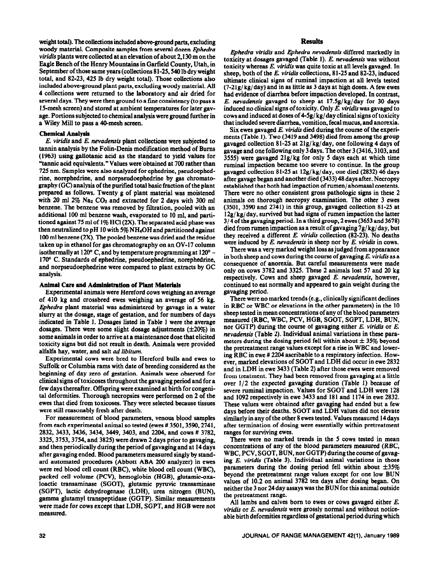weight total). The collections included above-ground parts, excluding woody material. Composite samples from several dozen Ephedra *viridis* plants were collected at an elevation of about 2,130 m on the Eagle Bench of the Henry Mountains in Garfield County, Utah, in September of those same years (collections 81-25, 540 lb dry weight total, and 82-23,425 lb dry weight total). Those collections also included above-ground plant parts, excluding woody material. All 4 collections were returned to the laboratory and air dried for several days. They were then ground to a fine consistency (to pass a 15-mesh screen) and stored at ambient temperatures for later gavage. Portions subjected to chemical analysis were ground further in a Wiley Mill to pass a 40-mesh screen.

# **Chemical Analysis**

*E. viridis* and *E. nevadensis* plant collections were subjected to tannin analysis by the Folin-Denis modification method of Bums (1963) using gallotanic acid as the standard to yield values for 'Yannic acid equivalents." Values were-obtained at 700 rather than 725 nm. Samples were also analyzed for ephedrine, pseudoephedrine, norephedrine, and norpseudoephedrine by gas chromatography (GC) analysis of the purified total basic fraction of the plant prepared as follows. Twenty g of plant material was moistened with 20 ml  $2\%$  Na<sub>2</sub> CO<sub>3</sub> and extracted for 2 days with 300 ml benzene. The benzene was removed by filtration, pooled with an additional 100 ml benzene wash, evaporated to 10 ml, and partitioned against 75 ml of  $1\%$  HCl(2X). The separated acid phase was then neutralized to pH 10 with  $5\%$  NH<sub>4</sub>OH and partitioned against 100 ml benzene (2X). The pooled benzene was dried and the residue taken up in ethanol for gas chromatography on an OV-17 column isothermally at 120 $\degree$  C, and by temperature programming at 120 $\degree$  -170" C. Standards of ephedrine, pseudoephedrine, norephedrine, and norpseudoephedrine were compared to plant extracts by GC analysis.

#### Animal Care **and Administration of Plant** Materials

Experimental animals were Hereford cows weighing an average of 410 kg and crossbred ewes weighing an average of 56 kg. *Ephedru* plant material was administered by gavage in a water slurry at the dosage, stage of gestation, and for numbers of days indicated in Table 1. Dosages listed in Table 1 were the average dosages. There were some slight dosage adjustments  $(\pm 20\%)$  in some animals in order to arrive at a maintenance dose that elicited toxicity signs but did not result in death. Animals were provided alfalfa hay, water, and salt *ad libitum.* 

Experimental cows were bred to Hereford bulls and ewes to Suffolk or Columbia rams with date of breeding considered as the beginning of day zero of gestation. Animals were observed for clinical signs of toxicoses throughout the gavaging period and for a few days thereafter. Offspring were examined at birth for congenital deformities. Thorough necropsies were performed on 2 of the ewes that died from toxicoses. They were selected because tissues were still reasonably fresh after death.

For measurement of blood parameters, venous blood samples from each experimental animal so tested (ewes # 3501,3590,2741, 2832,3433,3436,3434,3449, 3403, and 2204, and cows # 3782, 3325,3753,3754, and 3825) were drawn 2 days prior to gavaging, and then periodically during the period of gavaging and at 14 days after gavaging ended. Blood parameters measured singly by standard automated procedures (Abbott ABA 200 analyzer) in ewes were red blood cell count (RBC), white blood cell count (WBC), packed cell volume (PCV), hemoglobin (HGB), glutamic-oxaloactic transaminase (SGOT), glutamic pyruvic transaminase (SGPT), lactic dehydrogenase (LDH), urea nitrogen (BUN), gamma glutamyl transpeptidase (GGTP). Similar measurements were made for cows except that LDH, SGPT, and HGB were not measured.

# Results

*Ephedra viridis* and *Ephedra nevadensis* differed markedly in toxicity at dosages gavaged (Table 1). *E. nevadensis* was without toxicity whereas *E. viridis was* quite toxic at all levels gavaged. In sheep, both of the *E. viridis* collections, 81-25 and 82-23, induced ultimate clinical signs of ruminal impaction at all levels tested  $(7-21g/kg/day)$  and in as little as 3 days at high doses. A few ewes had evidence of diarrhea before impaction developed. In contrast, *E. nevaaknsis* gavaged to sheep at 17.5g/kg/day for 30 days induced no clinical signs of toxicity. Only E. *viridis was* gavaged to cows and induced at doses of  $4-5g/kg/day$  clinical signs of toxicity that included severe diarrhea, vomition, fecal mucus, and anorexia.

Six ewes gavaged *E. viridis* died during the course of the experiments (Table 1). Two (3419 and 3498) died from among the group gavaged collection 81-25 at 2lg/kg/day, one following 4 days of gavage and one following only 3 days. The other 3 (3416,3103, and 3555) were gavaged Zig/kg for only 5 days each at which time ruminal impaction became too severe to continue. In the group gavaged collection 81-25 at 12g/kg/day, one died (2832) 46 days after gavage began and another died (3433) 48 days after. Necropsy established that both had impaction of rumen/ abomasal contents. There were no other consistent gross pathologic signs in these 2 animals on thorough necropsy examination. The other 3 ewes (3501, 3590 and 2741) in this group, gavaged collection 81-25 at  $12g/kg/day$ , survived but had signs of rumen impaction the latter 3/ 4 of the gavaging period. In a third group, 2 ewes (3653 and 3678) died from rumen impaction as a result of gavaging 7g/ kg/ day, but they received a different E. *viridis* collection (82-23). No deaths were induced by *E. nevadensis* in sheep nor by *E. viridis* in cows.

There was a very marked weight loss as judged from appearance in both sheep and cows during the course of gavaging *E. viridis* as a consequence of anorexia. But careful measurements were made only on cows 3782 and 3325. These 2 animals lost 57 and 20 kg respectively. Cows and sheep gavaged *E. nevadensis,* however, continued to eat normally and appeared to gain weight during the gavaging period.

There were no marked trends (e.g., clinically significant declines in RBC or WBC or elevations in the other parameters) in the 10 sheep tested in mean concentrations of any of the blood parameters measured (RBC, WBC, PCV, HGB, SGOT, SGPT, LDH, BUN, nor GGTP) during the course of gavaging either *E. viridis* or *E. nevudensis* (Table 2). Individual animal variations in these parameters during the dosing period fell within about  $\pm$  35% beyond the pretreatment range values except for a rise in WBC and lowering RBC in ewe # 2204 ascribable to a respiratory infection. However, marked elevations of SGGT and LDH did occur in ewe 2832 and in LDH in ewe 3433 (Table 2) after those ewes were removed from treatment. They had been removed from gavaging at a little *over* l/2 the expected gavaging duration (Table 1) because of severe ruminal impaction. Values for SGOT and LDH were 128 and 1092 respectively in ewe 3433 and 181 and 1174 in ewe 2832. These values were obtained after gavaging had ended but a few days before their deaths. SGGT and LDH values did not elevate similarly in any of the other 8 ewes tested. Values measured 14 days after termination of dosing were essentially within pretreatment ranges for surviving ewes.

There were no marked trends in the 5 cows tested in mean concentrations of any of the blood parameters measured (RBC, WBC, PCV, SGOT, BUN, nor GGTP) during the course of gavaging E. *viridis* (Table 3). Individual animal variations in those parameters during the dosing period fell within about  $\pm 35\%$ beyond the pretreatment range values except for one low BUN values of 10.2 on animal 3782 ten days after dosing began. On neither the 3 nor 24 day assays was the BUN for this animal outside the pretreatment range.

All lambs and calves born to ewes or cows gavaged either *E. viridis* or *E. nevadensis were* grossly normal and without noticeable birth deformities regardless of gestational period during which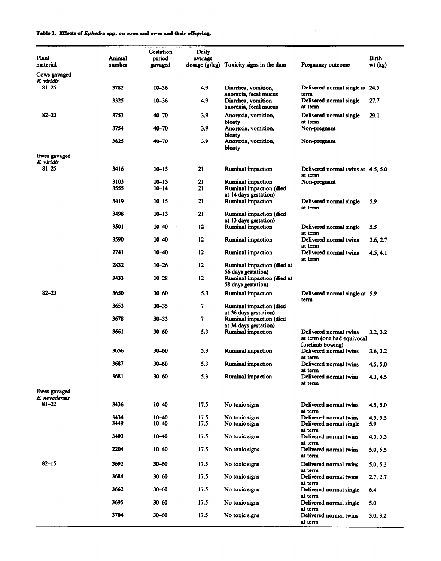# Table 1. Effects of *Ephedra* spp. on cows and ewes and their offspring.

| Plant<br>material       | Animal<br>number | Gestation<br>period<br>gavaged | Daily<br>average<br>dosage $(g/kg)$ | Toxicity signs in the dam                                            | Pregnancy outcome                                                        | Birth<br>$wt$ ( $kg$ ) |
|-------------------------|------------------|--------------------------------|-------------------------------------|----------------------------------------------------------------------|--------------------------------------------------------------------------|------------------------|
| Cows gavaged            |                  |                                |                                     |                                                                      |                                                                          |                        |
| E. viridis              |                  |                                |                                     |                                                                      |                                                                          |                        |
| $81 - 25$               | 3782             | $10 - 36$                      | 4,9                                 | Diarrhea, vomition.                                                  | Delivered normal single at 24.5                                          |                        |
|                         | 3325             | $10 - 36$                      | 4.9                                 | anorexia, fecal mucus<br>Diarrhea, vomition<br>anorexia, fecal mucus | term<br>Delivered normal single<br>at term                               | 27.7                   |
| $82 - 23$               | 3753             | 40-70                          | 3.9                                 | Anorexia, vomition,<br>bloaty                                        | Delivered normal single<br>at term                                       | 29.1                   |
|                         | 3754             | 40-70                          | 3.9                                 | Anorexia, vomition,<br>bloaty                                        | Non-pregnant                                                             |                        |
|                         | 3825             | 40-70                          | 3.9                                 | Anorexia, vomition,<br>bloaty                                        | Non-pregnant                                                             |                        |
| Ewes gavaged            |                  |                                |                                     |                                                                      |                                                                          |                        |
| E. viridis<br>$81 - 25$ | 3416             | $10 - 15$                      | 21                                  | <b>Ruminal impaction</b>                                             | Delivered normal twins at 4.5, 5.0<br>at term                            |                        |
|                         | 3103             | $10 - 15$                      | 21                                  | <b>Ruminal impaction</b>                                             | Non-pregnant                                                             |                        |
|                         | 3555             | $10 - 14$                      | 21                                  | Ruminal impaction (died                                              |                                                                          |                        |
|                         |                  |                                |                                     | at 14 days gestation)                                                |                                                                          |                        |
|                         | 3419             | $10 - 15$                      | 21                                  | <b>Ruminal impaction</b>                                             | Delivered normal single<br>at term                                       | 5.9                    |
|                         | 3498             | $10 - 13$                      | 21                                  | Ruminal impaction (died                                              |                                                                          |                        |
|                         | 3501             | $10 - 40$                      | 12                                  | at 13 days gestation)<br><b>Ruminal impaction</b>                    | Delivered normal single                                                  | 5.5                    |
|                         | 3590             | $10 - 40$                      | 12                                  | Ruminal impaction                                                    | at term<br>Delivered normal twins                                        | 3.6, 2.7               |
|                         | 2741             | $10 - 40$                      | 12                                  | Ruminal impaction                                                    | at term<br>Delivered normal twins                                        | 4.5, 4.1               |
|                         | 2832             | $10 - 26$                      | 12                                  | Ruminal impaction (died at<br>56 days gestation)                     | at term                                                                  |                        |
|                         | 3433             | $10 - 28$                      | 12                                  | Ruminal impaction (died at<br>58 days gestation)                     |                                                                          |                        |
| $82 - 23$               | 3650             | $30 - 60$                      | 5.3                                 | Ruminal impaction                                                    | Delivered normal single at 5.9<br>term                                   |                        |
|                         | 3653             | $30 - 35$                      | 7                                   | Ruminal impaction (died<br>at 36 days gestation)                     |                                                                          |                        |
|                         | 3678             | $30 - 33$                      | 7                                   | Ruminal impaction (died<br>at 34 days gestation)                     |                                                                          |                        |
|                         | 3661             | $30 - 60$                      | 5.3                                 | <b>Ruminal impaction</b>                                             | Delivered normal twins<br>at term (one had equivocal<br>forelimb bowing) | 3.2, 3.2               |
|                         | 3656             | 30-60                          | 5.3                                 | <b>Ruminal impaction</b>                                             | Delivered normal twins<br>at term                                        | 3.6, 3.2               |
|                         | 3687             | $30 - 60$                      | 5.3                                 | Ruminal impaction                                                    | Delivered normal twins<br>at term                                        | 4.5, 5.0               |
|                         | 3681             | $30 - 60$                      | 5.3                                 | Ruminal impaction                                                    | Delivered normal twins<br>at term                                        | 4.3, 4.5               |
| Ewes gavaged            |                  |                                |                                     |                                                                      |                                                                          |                        |
| E. nevadensis<br>81–22  | 3436             | $10 - 40$                      | 17.5                                | No toxic signs                                                       | Delivered normal twins<br>at term                                        | 4.5, 5.0               |
|                         | 3434             | $10 - 40$                      | 17.5                                | No toxic signs                                                       | Delivered normal twins                                                   | 4.5, 5.5               |
|                         | 3449             | $10 - 40$                      | 17.5                                | No toxic signs                                                       | Delivered normal single<br>at term                                       | 5.9                    |
|                         | 3403             | $10 - 40$                      | 17.5                                | No toxic signs                                                       | Delivered normal twins<br>at term                                        | 4.5, 5.5               |
|                         | 2204             | $10 - 40$                      | 17.5                                | No toxic signs                                                       | Delivered normal twins<br>at term                                        | 5.0, 5.5               |
| $82 - 15$               | 3692             | $30 - 60$                      | 17.5                                | No toxic signs                                                       | Delivered normal twins<br>at term                                        | 5.0, 5.3               |
|                         | 3684             | $30 - 60$                      | 17.5                                | No toxic signs                                                       | Delivered normal twins                                                   | 2.7, 2.7               |
|                         | 3662             | 30-60                          | 17.5                                | No toxic signs                                                       | at term<br>Delivered normal single<br>at term                            | 6.4                    |
|                         | 3695             | $30 - 60$                      | 17.5                                | No toxic signs                                                       | Delivered normal single<br>at term                                       | 5.0                    |
|                         | 3704             | $30 - 60$                      | 17.5                                | No toxic signs                                                       | Delivered normal twins<br>at term                                        | 3.0, 3.2               |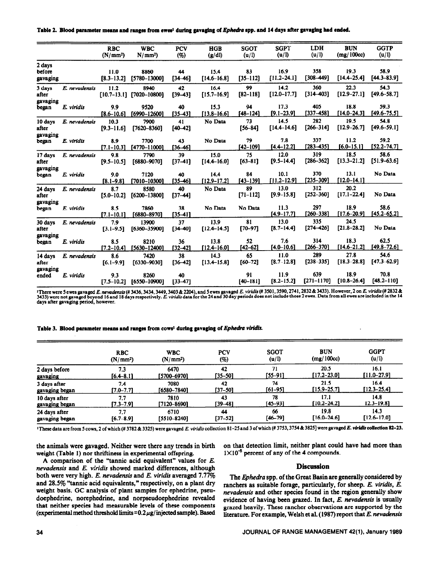|  | Table 2. Blood parameter means and ranges from ewes <sup>1</sup> during gavaging of <i>Ephedra</i> spp. and 14 days after gavaging had ended. |  |  |  |  |  |  |
|--|-----------------------------------------------------------------------------------------------------------------------------------------------|--|--|--|--|--|--|
|--|-----------------------------------------------------------------------------------------------------------------------------------------------|--|--|--|--|--|--|

|                   |               | <b>RBC</b>           | <b>WBC</b>                   | <b>PCV</b>        | <b>HGB</b>              | <b>SGOT</b>        | <b>SGPT</b>            | <b>LDH</b>           | <b>BUN</b>              | <b>GGTP</b>             |
|-------------------|---------------|----------------------|------------------------------|-------------------|-------------------------|--------------------|------------------------|----------------------|-------------------------|-------------------------|
|                   |               | (N/mm <sup>2</sup> ) | $N/mm^2$                     | (%)               | (g/d)                   | (u/l)              | (u/I)                  | (u/l)                | (mg/100cc)              | (u/l)                   |
| 2 days            |               |                      |                              |                   |                         |                    |                        |                      |                         |                         |
| before            |               | 11.0                 | 8860                         | 44                | 15.4                    | 83                 | 16.9                   | 358                  | 19.3                    | 58.9                    |
| gavaging          |               | $[8.3 - 13.2]$       | $[5780 - 13000]$             | $[34 - 46]$       | $[14.6 - 16.8]$         | $[35 - 112]$       | $[11.2 - 24.1]$        | $[308 - 449]$        | $[14.4 - 25.4]$         | $[44.3 - 83.9]$         |
| 3 days            | E. nevadensis | 11.2                 | 8940                         | 42                | 16.4                    | 99                 | 14.2                   | 360                  | 22.3                    | 54.3                    |
| after             |               |                      | $[10.7-13.1]$ $[7020-10800]$ | $[39-43]$         | $[15.7 - 16.9]$         | $[82 - 118]$       | $[12.0 - 17.7]$        | $[314 - 403]$        | $[12.9 - 27.1]$         | $[49.6 - 58.7]$         |
| gavaging          |               |                      |                              |                   |                         |                    | 17.3                   | 405                  | 18.8                    | 59.3                    |
| began             | E. viridis    | 9.9                  | 9520<br>[6990-12600]         | 40<br>$[35 - 43]$ | 15.3<br>$[13.8 - 16.6]$ | 94<br>$[48 - 124]$ | $[9.1 - 23.9]$         | $[337 - 458]$        | $[14.0 - 24.3]$         | $[49.6 - 75.5]$         |
|                   |               | $[8.6 - 10.6]$       |                              |                   |                         | 73                 | 14.5                   | 282                  | 19.5                    | 54.8                    |
| 10 days<br>after  | E. nevadensis | 10.3                 | 7900<br>[7620-8360]          | 41<br>$[40 - 42]$ | No Data                 | $[56 - 84]$        | $[14.4 - 14.6]$        | $[266 - 314]$        | $[12.9 - 26.7]$         | $[49.6 - 59.1]$         |
| gavaging          |               | $[9.3 - 11.6]$       |                              |                   |                         |                    |                        |                      |                         |                         |
| began             | E. viridis    | 8.9                  | 7700                         | 43                | No Data                 | 79                 | 7.8                    | 337                  | 11.2                    | 59.2                    |
|                   |               | $[7.1 - 10.3]$       | [4770-11000]                 | r36–461           |                         | $[42 - 109]$       | $[4.4 - 12.2]$         | $[283 - 435]$        | $[6.0 - 15.1]$          | $[52.2 - 74.7]$         |
| 17 days           | E. nevadensis | 9.8                  | 7790                         | 39                | 15.0                    | 75                 | 12.0                   | 319                  | 18.5                    | 58.6                    |
| after             |               | $[9.5 - 10.5]$       | $[6880 - 9070]$              | $[37-41]$         | $[14.4 - 16.0]$         | $[63 - 81]$        | $[9.5 - 14.4]$         | $[286 - 362]$        | $[13.3 - 21.2]$         | $[51.9 - 63.6]$         |
| gavaging          |               |                      |                              |                   |                         |                    |                        |                      |                         |                         |
| began             | E. viridis    | 9.0                  | 7120                         | 40                | 14.4                    | 84                 | 10.1                   | 370                  | 13.1                    | No Data                 |
|                   |               | $[8.1 - 9.8]$        | [7010-10300]                 | $[35 - 46]$       | $[12.9 - 17.2]$         | $[43 - 139]$       | $[11.2 - 12.9]$        | $[235 - 309]$        | $[12.0 - 14.1]$         |                         |
| 24 days           | E. nevadensis | 8.7                  | 8580                         | 40                | No Data                 | 89                 | 13.0                   | 312                  | 20.2                    |                         |
| after             |               | $[5.0 - 10.2]$       | $[6200 - 13800]$             | $[37 - 44]$       |                         | $[71 - 112]$       | $[9.9 - 15.8]$         | $[252 - 360]$        | $[17.1 - 22.4]$         | No Data                 |
| gavaging          |               |                      |                              |                   |                         |                    |                        |                      |                         |                         |
| began             | E. viridis    | 8.5                  | 7860                         | 38                | No Data                 | No Data            | 11.3<br>$[4.9 - 17.7]$ | 297<br>$[260 - 338]$ | 18.9<br>$[17.6 - 20.9]$ | 58.6<br>$[45.2 - 65.2]$ |
|                   |               | $[7.1 - 10.1]$       | [6880-8970]                  | $135 - 411$       |                         |                    |                        |                      |                         |                         |
| 30 days           | E. nevadensis | 7.9                  | 13900                        | 37                | 13.9                    | 81                 | 13.0                   | 335<br>$[274 - 426]$ | 24.5<br>$[21.8 - 28.2]$ | No Data                 |
| after             |               | $[3.1 - 9.5]$        | [6360-35900]                 | $[34 - 40]$       | $[12.4 - 14.5]$         | $[70 - 97]$        | $[8.7 - 14.4]$         |                      |                         |                         |
| gavaging<br>began | E. viridis    | 8.5                  | 8210                         | 36                | 13.8                    | 52                 | 7.6                    | 314                  | 18.3                    | 62.5                    |
|                   |               | $[7.2 - 10.4]$       | [5630-12400]                 | $[32 - 42]$       | $[12.4 - 16.0]$         | $[42 - 62]$        | $[4.0 - 10.6]$         | $[266 - 370]$        | $[14.6 - 21.2]$         | $[49.8 - 72.6]$         |
| 14 days           | E. nevadensis | 8.6                  | 7420                         | 38                | 14.3                    | 65                 | 11.0                   | 289                  | 27.8                    | 54.6                    |
| after             |               | $[6.1 - 9.9]$        | $[6330 - 9030]$              | $[36 - 42]$       | $[13.4 - 15.8]$         | $[60 - 72]$        | $[8.7 - 12.8]$         | $[238 - 335]$        | $[18.3 - 28.8]$         | $[47.3 - 62.9]$         |
| gavaging          |               |                      |                              |                   |                         |                    |                        |                      |                         |                         |
| ended             | E. viridis    | 9.3                  | 8260                         | 40                |                         | 91                 | 11.9                   | 639                  | 18.9                    | 70.8                    |
|                   |               | $[7.5 - 10.2]$       | $[6550 - 10900]$             | $[33 - 47]$       |                         | $[40 - 181]$       | $[8.2 - 15.2]$         | $[271 - 1170]$       | $[10.8 - 26.4]$         | $[48.2 - 110]$          |

There were 5 ewes gavaged E. nevadensis (# 3436, 3434, 3449, 3403 & 2204), and 5 ewes gavaged E. viridis (# 3501, 3590, 2741, 2832 & 3433). However, 2 on E. viridis (# 2832 & 3433) were not gavaged beyond 16 and 18 days re

#### Table 3. Blood parameter means and ranges from cows' during gavaging of Ephedra viridis.

|                | <b>RBC</b>           | <b>WBC</b>           | <b>PCV</b> | <b>SGOT</b> | <b>BUN</b>      | <b>GGPT</b>     |
|----------------|----------------------|----------------------|------------|-------------|-----------------|-----------------|
|                | (N/mm <sup>2</sup> ) | (N/mm <sup>2</sup> ) | (%)        | (u/l)       | (mg/100cc)      | (u/l)           |
| 2 days before  | 7.3                  | 6470                 | 42         | 71          | 20.5            | 16.1            |
| gavaging       | $[6.4 - 8.1]$        | [5700–6970]          | [35–50]    | [55–91]     | [17.2–23.01     | $[11.0 - 27.9]$ |
| 3 days after   | 7.4                  | 7080                 | 42         | 74          | 21.5            | 16.4            |
| gavaging began | [7.0–7.7]            | $[6580 - 7840]$      | [37–50]    | $[61 - 95]$ | $[15.9 - 25.7]$ | $[12.3 - 25.4]$ |
| 10 days after  | 7.7                  | 7810                 | 43         | 78          | 17.1            | 14.8            |
| gavaging began | [7.3–7.9]            | [7120–8690]          | F39–481    | $[45 - 93]$ | $[10.2 - 24.2]$ | $12.3 - 19.8$   |
| 24 days after  | 7.7                  | 6710                 | 44         | 66          | 19.8            | 14.3            |
| gavaging began | $[6.7 - 8.9]$        | [5510-8240]          | [37–52]    | $[46 - 79]$ | $[16.0 - 24.6]$ | $[12.6 - 17.0]$ |

<sup>1</sup>These data are from 5 cows, 2 of which (#3782 & 3325) were gavaged E. viridis collection 81-25 and 3 of which (#3753, 3754 & 3825] were gavaged E. viridis collection 82-23.

the animals were gavaged. Neither were there any trends in birth weight (Table 1) nor thriftiness in experimental offspring.

A comparison of the "tannic acid equivalent" values for E. nevadensis and E. viridis showed marked differences, although both were very high.  $E$ . nevadensis and  $E$ . viridis averaged  $7.77\%$ and 28.5% "tannic acid equivalents," respectively, on a plant dry weight basis. GC analysis of plant samples for ephedrine, pseudoephedrine, norephedrine, and norpseudoephedrine revealed that neither species had measurable levels of these components (experimental method threshold limits =  $0.2 \mu$ g/injected sample). Based on that detection limit, neither plant could have had more than  $1 \times 10^{-5}$  percent of any of the 4 compounds.

# **Discussion**

The Ephedra spp. of the Great Basin are generally considered by ranchers as suitable forage, particularly, for sheep. E. viridis, E. nevadensis and other species found in the region generally show evidence of having been grazed. In fact, E. nevadensis is usually grazed heavily. These rancher observations are supported by the literature. For example, Welsh et al. (1987) report that E. nevadensis